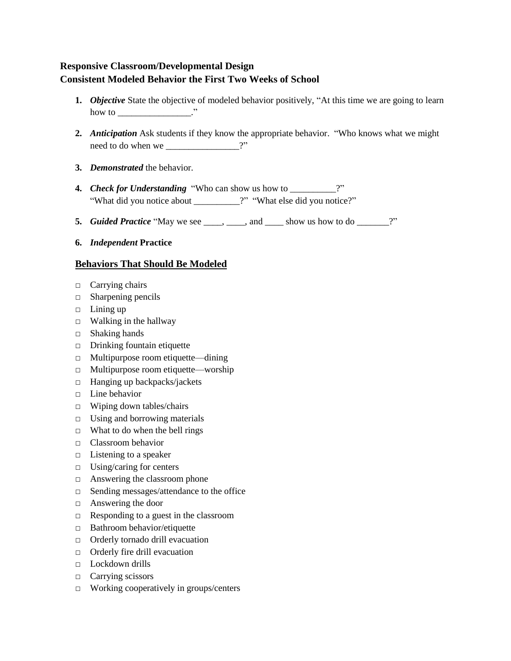## **Responsive Classroom/Developmental Design Consistent Modeled Behavior the First Two Weeks of School**

- **1.** *Objective* State the objective of modeled behavior positively, "At this time we are going to learn how to \_\_\_\_\_\_\_\_\_\_\_\_\_\_\_\_\_\_\_."
- **2.** *Anticipation* Ask students if they know the appropriate behavior. "Who knows what we might need to do when we \_\_\_\_\_\_\_\_\_\_\_\_\_\_\_\_\_\_\_\_\_?"
- **3.** *Demonstrated* the behavior.
- **4.** *Check for Understanding* "Who can show us how to \_\_\_\_\_\_\_\_\_?" "What did you notice about \_\_\_\_\_\_\_\_\_?" "What else did you notice?"
- **5.** *Guided Practice* "May we see \_\_\_\_, \_\_\_\_, and \_\_\_\_ show us how to do \_\_\_\_\_\_?"
- **6.** *Independent* **Practice**

## **Behaviors That Should Be Modeled**

- □ Carrying chairs
- □ Sharpening pencils
- $\Box$  Lining up
- $\Box$  Walking in the hallway
- □ Shaking hands
- □ Drinking fountain etiquette
- $\Box$  Multipurpose room etiquette—dining
- □ Multipurpose room etiquette—worship
- $\Box$  Hanging up backpacks/jackets
- □ Line behavior
- $\Box$  Wiping down tables/chairs
- $\Box$  Using and borrowing materials
- $\Box$  What to do when the bell rings
- □ Classroom behavior
- $\Box$  Listening to a speaker
- □ Using/caring for centers
- $\Box$  Answering the classroom phone
- □ Sending messages/attendance to the office
- □ Answering the door
- $\Box$  Responding to a guest in the classroom
- □ Bathroom behavior/etiquette
- □ Orderly tornado drill evacuation
- □ Orderly fire drill evacuation
- □ Lockdown drills
- □ Carrying scissors
- $\Box$  Working cooperatively in groups/centers